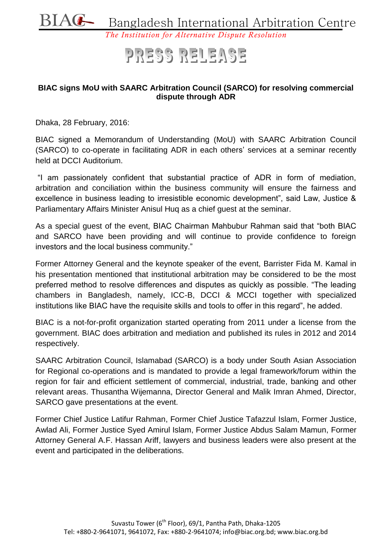

#### *The Institution for Alternative Dispute Resolution*

# PRESS RELEASE

#### **BIAC signs MoU with SAARC Arbitration Council (SARCO) for resolving commercial dispute through ADR**

Dhaka, 28 February, 2016:

BIAC signed a Memorandum of Understanding (MoU) with SAARC Arbitration Council (SARCO) to co-operate in facilitating ADR in each others' services at a seminar recently held at DCCI Auditorium.

"I am passionately confident that substantial practice of ADR in form of mediation, arbitration and conciliation within the business community will ensure the fairness and excellence in business leading to irresistible economic development", said Law, Justice & Parliamentary Affairs Minister Anisul Huq as a chief guest at the seminar.

As a special guest of the event, BIAC Chairman Mahbubur Rahman said that "both BIAC and SARCO have been providing and will continue to provide confidence to foreign investors and the local business community."

Former Attorney General and the keynote speaker of the event, Barrister Fida M. Kamal in his presentation mentioned that institutional arbitration may be considered to be the most preferred method to resolve differences and disputes as quickly as possible. "The leading chambers in Bangladesh, namely, ICC-B, DCCI & MCCI together with specialized institutions like BIAC have the requisite skills and tools to offer in this regard", he added.

BIAC is a not-for-profit organization started operating from 2011 under a license from the government. BIAC does arbitration and mediation and published its rules in 2012 and 2014 respectively.

SAARC Arbitration Council, Islamabad (SARCO) is a body under South Asian Association for Regional co-operations and is mandated to provide a legal framework/forum within the region for fair and efficient settlement of commercial, industrial, trade, banking and other relevant areas. Thusantha Wijemanna, Director General and Malik Imran Ahmed, Director, SARCO gave presentations at the event.

Former Chief Justice Latifur Rahman, Former Chief Justice Tafazzul Islam, Former Justice, Awlad Ali, Former Justice Syed Amirul Islam, Former Justice Abdus Salam Mamun, Former Attorney General A.F. Hassan Ariff, lawyers and business leaders were also present at the event and participated in the deliberations.